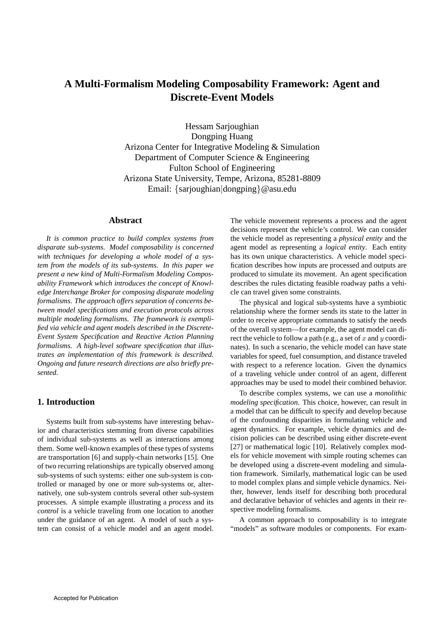# **A Multi-Formalism Modeling Composability Framework: Agent and Discrete-Event Models**

Hessam Sarjoughian Dongping Huang Arizona Center for Integrative Modeling & Simulation Department of Computer Science & Engineering Fulton School of Engineering Arizona State University, Tempe, Arizona, 85281-8809 Email: {sarjoughian|dongping}@asu.edu

#### **Abstract**

*It is common practice to build complex systems from disparate sub-systems. Model composability is concerned with techniques for developing a whole model of a system from the models of its sub-systems. In this paper we present a new kind of Multi-Formalism Modeling Composability Framework which introduces the concept of Knowledge Interchange Broker for composing disparate modeling formalisms. The approach offers separation of concerns between model specifications and execution protocols across multiple modeling formalisms. The framework is exemplified via vehicle and agent models described in the Discrete-Event System Specification and Reactive Action Planning formalisms. A high-level software specification that illustrates an implementation of this framework is described. Ongoing and future research directions are also briefly presented.*

## **1. Introduction**

Systems built from sub-systems have interesting behavior and characteristics stemming from diverse capabilities of individual sub-systems as well as interactions among them. Some well-known examples of these types of systems are transportation [6] and supply-chain networks [15]. One of two recurring relationships are typically observed among sub-systems of such systems: either one sub-system is controlled or managed by one or more sub-systems or, alternatively, one sub-system controls several other sub-system processes. A simple example illustrating a *process* and its *control* is a vehicle traveling from one location to another under the guidance of an agent. A model of such a system can consist of a vehicle model and an agent model. The vehicle movement represents a process and the agent decisions represent the vehicle's control. We can consider the vehicle model as representing a *physical entity* and the agent model as representing a *logical entity*. Each entity has its own unique characteristics. A vehicle model specification describes how inputs are processed and outputs are produced to simulate its movement. An agent specification describes the rules dictating feasible roadway paths a vehicle can travel given some constraints.

The physical and logical sub-systems have a symbiotic relationship where the former sends its state to the latter in order to receive appropriate commands to satisfy the needs of the overall system—for example, the agent model can direct the vehicle to follow a path (e.g., a set of x and y coordinates). In such a scenario, the vehicle model can have state variables for speed, fuel consumption, and distance traveled with respect to a reference location. Given the dynamics of a traveling vehicle under control of an agent, different approaches may be used to model their combined behavior.

To describe complex systems, we can use a *monolithic modeling specification*. This choice, however, can result in a model that can be difficult to specify and develop because of the confounding disparities in formulating vehicle and agent dynamics. For example, vehicle dynamics and decision policies can be described using either discrete-event [27] or mathematical logic [10]. Relatively complex models for vehicle movement with simple routing schemes can be developed using a discrete-event modeling and simulation framework. Similarly, mathematical logic can be used to model complex plans and simple vehicle dynamics. Neither, however, lends itself for describing both procedural and declarative behavior of vehicles and agents in their respective modeling formalisms.

A common approach to composability is to integrate "models" as software modules or components. For exam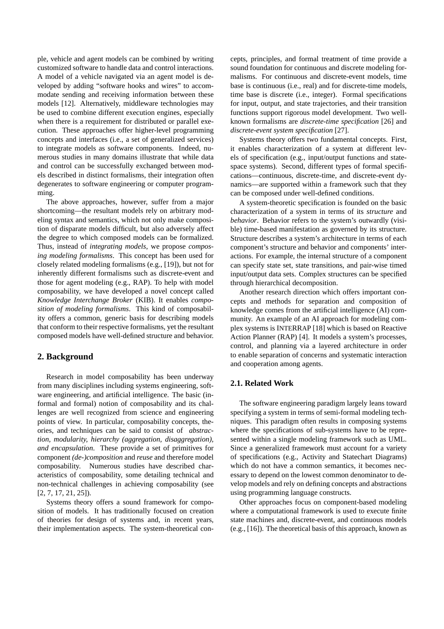ple, vehicle and agent models can be combined by writing customized software to handle data and control interactions. A model of a vehicle navigated via an agent model is developed by adding "software hooks and wires" to accommodate sending and receiving information between these models [12]. Alternatively, middleware technologies may be used to combine different execution engines, especially when there is a requirement for distributed or parallel execution. These approaches offer higher-level programming concepts and interfaces (i.e., a set of generalized services) to integrate models as software components. Indeed, numerous studies in many domains illustrate that while data and control can be successfully exchanged between models described in distinct formalisms, their integration often degenerates to software engineering or computer programming.

The above approaches, however, suffer from a major shortcoming—the resultant models rely on arbitrary modeling syntax and semantics, which not only make composition of disparate models difficult, but also adversely affect the degree to which composed models can be formalized. Thus, instead of *integrating models*, we propose *composing modeling formalisms*. This concept has been used for closely related modeling formalisms (e.g., [19]), but not for inherently different formalisms such as discrete-event and those for agent modeling (e.g., RAP). To help with model composability, we have developed a novel concept called *Knowledge Interchange Broker* (KIB). It enables *composition of modeling formalisms*. This kind of composability offers a common, generic basis for describing models that conform to their respective formalisms, yet the resultant composed models have well-defined structure and behavior.

## **2. Background**

Research in model composability has been underway from many disciplines including systems engineering, software engineering, and artificial intelligence. The basic (informal and formal) notion of composability and its challenges are well recognized from science and engineering points of view. In particular, composability concepts, theories, and techniques can be said to consist of *abstraction, modularity, hierarchy (aggregation, disaggregation), and encapsulation*. These provide a set of primitives for component *(de-)composition* and *reuse* and therefore model composability. Numerous studies have described characteristics of composability, some detailing technical and non-technical challenges in achieving composability (see [2, 7, 17, 21, 25]).

Systems theory offers a sound framework for composition of models. It has traditionally focused on creation of theories for design of systems and, in recent years, their implementation aspects. The system-theoretical concepts, principles, and formal treatment of time provide a sound foundation for continuous and discrete modeling formalisms. For continuous and discrete-event models, time base is continuous (i.e., real) and for discrete-time models, time base is discrete (i.e., integer). Formal specifications for input, output, and state trajectories, and their transition functions support rigorous model development. Two wellknown formalisms are *discrete-time specification* [26] and *discrete-event system specification* [27].

Systems theory offers two fundamental concepts. First, it enables characterization of a system at different levels of specification (e.g., input/output functions and statespace systems). Second, different types of formal specifications—continuous, discrete-time, and discrete-event dynamics—are supported within a framework such that they can be composed under well-defined conditions.

A system-theoretic specification is founded on the basic characterization of a system in terms of its *structure* and *behavior*. Behavior refers to the system's outwardly (visible) time-based manifestation as governed by its structure. Structure describes a system's architecture in terms of each component's structure and behavior and components' interactions. For example, the internal structure of a component can specify state set, state transitions, and pair-wise timed input/output data sets. Complex structures can be specified through hierarchical decomposition.

Another research direction which offers important concepts and methods for separation and composition of knowledge comes from the artificial intelligence (AI) community. An example of an AI approach for modeling complex systems is INTERRAP [18] which is based on Reactive Action Planner (RAP) [4]. It models a system's processes, control, and planning via a layered architecture in order to enable separation of concerns and systematic interaction and cooperation among agents.

#### **2.1. Related Work**

The software engineering paradigm largely leans toward specifying a system in terms of semi-formal modeling techniques. This paradigm often results in composing systems where the specifications of sub-systems have to be represented within a single modeling framework such as UML. Since a generalized framework must account for a variety of specifications (e.g., Activity and Statechart Diagrams) which do not have a common semantics, it becomes necessary to depend on the lowest common denominator to develop models and rely on defining concepts and abstractions using programming language constructs.

Other approaches focus on component-based modeling where a computational framework is used to execute finite state machines and, discrete-event, and continuous models (e.g., [16]). The theoretical basis of this approach, known as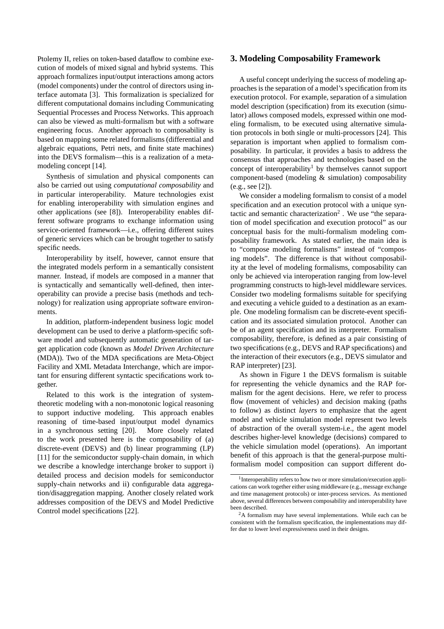Ptolemy II, relies on token-based dataflow to combine execution of models of mixed signal and hybrid systems. This approach formalizes input/output interactions among actors (model components) under the control of directors using interface automata [3]. This formalization is specialized for different computational domains including Communicating Sequential Processes and Process Networks. This approach can also be viewed as multi-formalism but with a software engineering focus. Another approach to composability is based on mapping some related formalisms (differential and algebraic equations, Petri nets, and finite state machines) into the DEVS formalism—this is a realization of a metamodeling concept [14].

Synthesis of simulation and physical components can also be carried out using *computational composability* and in particular interoperability. Mature technologies exist for enabling interoperability with simulation engines and other applications (see [8]). Interoperability enables different software programs to exchange information using service-oriented framework—i.e., offering different suites of generic services which can be brought together to satisfy specific needs.

Interoperability by itself, however, cannot ensure that the integrated models perform in a semantically consistent manner. Instead, if models are composed in a manner that is syntactically and semantically well-defined, then interoperability can provide a precise basis (methods and technology) for realization using appropriate software environments.

In addition, platform-independent business logic model development can be used to derive a platform-specific software model and subsequently automatic generation of target application code (known as *Model Driven Architecture* (MDA)). Two of the MDA specifications are Meta-Object Facility and XML Metadata Interchange, which are important for ensuring different syntactic specifications work together.

Related to this work is the integration of systemtheoretic modeling with a non-monotonic logical reasoning to support inductive modeling. This approach enables reasoning of time-based input/output model dynamics in a synchronous setting [20]. More closely related to the work presented here is the composability of (a) discrete-event (DEVS) and (b) linear programming (LP) [11] for the semiconductor supply-chain domain, in which we describe a knowledge interchange broker to support i) detailed process and decision models for semiconductor supply-chain networks and ii) configurable data aggregation/disaggregation mapping. Another closely related work addresses composition of the DEVS and Model Predictive Control model specifications [22].

#### **3. Modeling Composability Framework**

A useful concept underlying the success of modeling approaches is the separation of a model's specification from its execution protocol. For example, separation of a simulation model description (specification) from its execution (simulator) allows composed models, expressed within one modeling formalism, to be executed using alternative simulation protocols in both single or multi-processors [24]. This separation is important when applied to formalism composability. In particular, it provides a basis to address the consensus that approaches and technologies based on the concept of interoperability<sup>1</sup> by themselves cannot support component-based (modeling & simulation) composability (e.g., see [2]).

We consider a modeling formalism to consist of a model specification and an execution protocol with a unique syntactic and semantic characterization<sup>2</sup>. We use "the separation of model specification and execution protocol" as our conceptual basis for the multi-formalism modeling composability framework. As stated earlier, the main idea is to "compose modeling formalisms" instead of "composing models". The difference is that without composability at the level of modeling formalisms, composability can only be achieved via interoperation ranging from low-level programming constructs to high-level middleware services. Consider two modeling formalisms suitable for specifying and executing a vehicle guided to a destination as an example. One modeling formalism can be discrete-event specification and its associated simulation protocol. Another can be of an agent specification and its interpreter. Formalism composability, therefore, is defined as a pair consisting of two specifications (e.g., DEVS and RAP specifications) and the interaction of their executors (e.g., DEVS simulator and RAP interpreter) [23].

As shown in Figure 1 the DEVS formalism is suitable for representing the vehicle dynamics and the RAP formalism for the agent decisions. Here, we refer to process flow (movement of vehicles) and decision making (paths to follow) as distinct *layers* to emphasize that the agent model and vehicle simulation model represent two levels of abstraction of the overall system-i.e., the agent model describes higher-level knowledge (decisions) compared to the vehicle simulation model (operations). An important benefit of this approach is that the general-purpose multiformalism model composition can support different do-

<sup>&</sup>lt;sup>1</sup> Interoperability refers to how two or more simulation/execution applications can work together either using middleware (e.g., message exchange and time management protocols) or inter-process services. As mentioned above, several differences between composability and interoperability have been described.

 $2A$  formalism may have several implementations. While each can be consistent with the formalism specification, the implementations may differ due to lower level expressiveness used in their designs.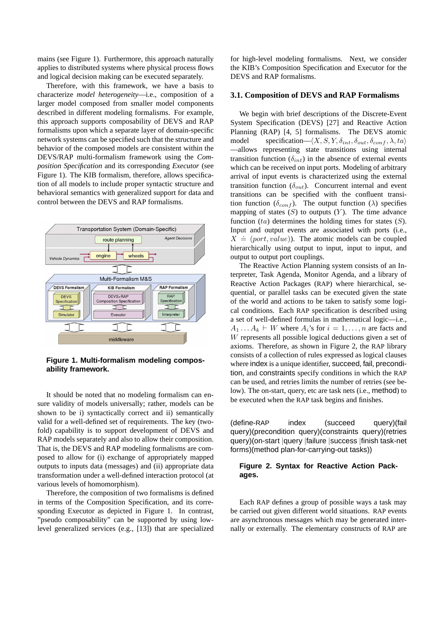mains (see Figure 1). Furthermore, this approach naturally applies to distributed systems where physical process flows and logical decision making can be executed separately.

Therefore, with this framework, we have a basis to characterize *model heterogeneity*—i.e., composition of a larger model composed from smaller model components described in different modeling formalisms. For example, this approach supports composability of DEVS and RAP formalisms upon which a separate layer of domain-specific network systems can be specified such that the structure and behavior of the composed models are consistent within the DEVS/RAP multi-formalism framework using the *Composition Specification* and its corresponding *Executor* (see Figure 1). The KIB formalism, therefore, allows specification of all models to include proper syntactic structure and behavioral semantics with generalized support for data and control between the DEVS and RAP formalisms.



**Figure 1. Multi-formalism modeling composability framework.**

It should be noted that no modeling formalism can ensure validity of models universally; rather, models can be shown to be i) syntactically correct and ii) semantically valid for a well-defined set of requirements. The key (twofold) capability is to support development of DEVS and RAP models separately and also to allow their composition. That is, the DEVS and RAP modeling formalisms are composed to allow for (i) exchange of appropriately mapped outputs to inputs data (messages) and (ii) appropriate data transformation under a well-defined interaction protocol (at various levels of homomorphism).

Therefore, the composition of two formalisms is defined in terms of the Composition Specification, and its corresponding Executor as depicted in Figure 1. In contrast, "pseudo composability" can be supported by using lowlevel generalized services (e.g., [13]) that are specialized for high-level modeling formalisms. Next, we consider the KIB's Composition Specification and Executor for the DEVS and RAP formalisms.

#### **3.1. Composition of DEVS and RAP Formalisms**

We begin with brief descriptions of the Discrete-Event System Specification (DEVS) [27] and Reactive Action Planning (RAP) [4, 5] formalisms. The DEVS atomic model specification— $\langle X, S, Y, \delta_{int}, \delta_{out}, \delta_{conf}, \lambda, ta \rangle$ —allows representing state transitions using internal transition function  $(\delta_{int})$  in the absence of external events which can be received on input ports. Modeling of arbitrary arrival of input events is characterized using the external transition function ( $\delta_{out}$ ). Concurrent internal and event transitions can be specified with the confluent transition function ( $\delta_{conf}$ ). The output function ( $\lambda$ ) specifies mapping of states  $(S)$  to outputs  $(Y)$ . The time advance function  $(ta)$  determines the holding times for states  $(S)$ . Input and output events are associated with ports (i.e.,  $X \doteq (port, value)$ ). The atomic models can be coupled hierarchically using output to input, input to input, and output to output port couplings.

The Reactive Action Planning system consists of an Interpreter, Task Agenda, Monitor Agenda, and a library of Reactive Action Packages (RAP) where hierarchical, sequential, or parallel tasks can be executed given the state of the world and actions to be taken to satisfy some logical conditions. Each RAP specification is described using a set of well-defined formulas in mathematical logic—i.e.,  $A_1 \ldots A_k \vdash W$  where  $A_i$ 's for  $i = 1, \ldots, n$  are facts and W represents all possible logical deductions given a set of axioms. Therefore, as shown in Figure 2, the RAP library consists of a collection of rules expressed as logical clauses where index is a unique identifier, succeed, fail, precondition, and constraints specify conditions in which the RAP can be used, and retries limits the number of retries (see below). The on-start, query, etc are task nets (i.e., method) to be executed when the RAP task begins and finishes.

(define-RAP index (succeed query)(fail query)(precondition query)(constraints query)(retries query)(on-start |query |failure |success |finish task-net forms)(method plan-for-carrying-out tasks))

#### **Figure 2. Syntax for Reactive Action Packages.**

Each RAP defines a group of possible ways a task may be carried out given different world situations. RAP events are asynchronous messages which may be generated internally or externally. The elementary constructs of RAP are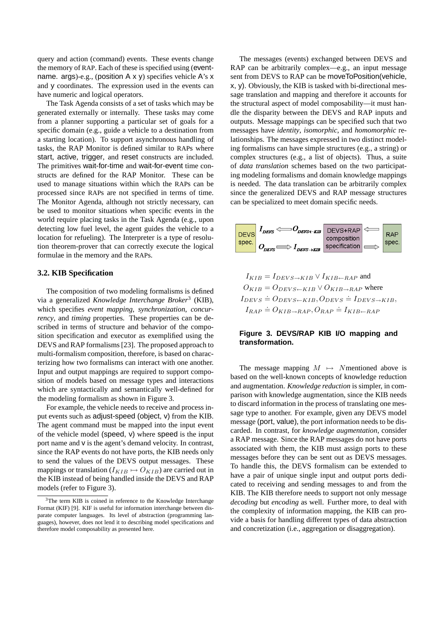query and action (command) events. These events change the memory of RAP. Each of these is specified using (eventname. args)-e.g., (position A x y) specifies vehicle A's x and y coordinates. The expression used in the events can have numeric and logical operators.

The Task Agenda consists of a set of tasks which may be generated externally or internally. These tasks may come from a planner supporting a particular set of goals for a specific domain (e.g., guide a vehicle to a destination from a starting location). To support asynchronous handling of tasks, the RAP Monitor is defined similar to RAPs where start, active, trigger, and reset constructs are included. The primitives wait-for-time and wait-for-event time constructs are defined for the RAP Monitor. These can be used to manage situations within which the RAPs can be processed since RAPs are not specified in terms of time. The Monitor Agenda, although not strictly necessary, can be used to monitor situations when specific events in the world require placing tasks in the Task Agenda (e.g., upon detecting low fuel level, the agent guides the vehicle to a location for refueling). The Interpreter is a type of resolution theorem-prover that can correctly execute the logical formulae in the memory and the RAPs.

#### **3.2. KIB Specification**

The composition of two modeling formalisms is defined via a generalized *Knowledge Interchange Broker*<sup>3</sup> (KIB), which specifies *event mapping*, *synchronization*, *concurrency*, and *timing* properties. These properties can be described in terms of structure and behavior of the composition specification and executor as exemplified using the DEVS and RAP formalisms [23]. The proposed approach to multi-formalism composition, therefore, is based on characterizing how two formalisms can interact with one another. Input and output mappings are required to support composition of models based on message types and interactions which are syntactically and semantically well-defined for the modeling formalism as shown in Figure 3.

For example, the vehicle needs to receive and process input events such as adjust-speed (object, v) from the KIB. The agent command must be mapped into the input event of the vehicle model (speed,  $v$ ) where speed is the input port name and v is the agent's demand velocity. In contrast, since the RAP events do not have ports, the KIB needs only to send the values of the DEVS output messages. These mappings or translation ( $I_{KIB} \mapsto O_{KIB}$ ) are carried out in the KIB instead of being handled inside the DEVS and RAP models (refer to Figure 3).

The messages (events) exchanged between DEVS and RAP can be arbitrarily complex—e.g., an input message sent from DEVS to RAP can be moveToPosition(vehicle, x, y). Obviously, the KIB is tasked with bi-directional message translation and mapping and therefore it accounts for the structural aspect of model composability—it must handle the disparity between the DEVS and RAP inputs and outputs. Message mappings can be specified such that two messages have *identity*, *isomorphic*, and *homomorphic* relationships. The messages expressed in two distinct modeling formalisms can have simple structures (e.g., a string) or complex structures (e.g., a list of objects). Thus, a suite of *data translation* schemes based on the two participating modeling formalisms and domain knowledge mappings is needed. The data translation can be arbitrarily complex since the generalized DEVS and RAP message structures can be specialized to meet domain specific needs.



 $I_{KIB} = I_{DEVS \rightarrow KIB} \vee I_{KIB \leftarrow RAP}$  and  $O_{KIB} = O_{DEVS \leftarrow KIB} \vee O_{KIB \rightarrow RAP}$  where  $I_{DEVS} = O_{DEVS \leftarrow KIB}, O_{DEVS} = I_{DEVS \rightarrow KIB},$  $I_{RAP} = O_{KIB \to RAP}, O_{RAP} = I_{KIB \leftarrow RAP}$ 

## **Figure 3. DEVS/RAP KIB I/O mapping and transformation.**

The message mapping  $M \mapsto N$ mentioned above is based on the well-known concepts of knowledge reduction and augmentation. *Knowledge reduction* is simpler, in comparison with knowledge augmentation, since the KIB needs to discard information in the process of translating one message type to another. For example, given any DEVS model message (port, value), the port information needs to be discarded. In contrast, for *knowledge augmentation*, consider a RAP message. Since the RAP messages do not have ports associated with them, the KIB must assign ports to these messages before they can be sent out as DEVS messages. To handle this, the DEVS formalism can be extended to have a pair of unique single input and output ports dedicated to receiving and sending messages to and from the KIB. The KIB therefore needs to support not only message *decoding* but *encoding* as well. Further more, to deal with the complexity of information mapping, the KIB can provide a basis for handling different types of data abstraction and concretization (i.e., aggregation or disaggregation).

<sup>&</sup>lt;sup>3</sup>The term KIB is coined in reference to the Knowledge Interchange Format (KIF) [9]. KIF is useful for information interchange between disparate computer languages. Its level of abstraction (programming languages), however, does not lend it to describing model specifications and therefore model composability as presented here.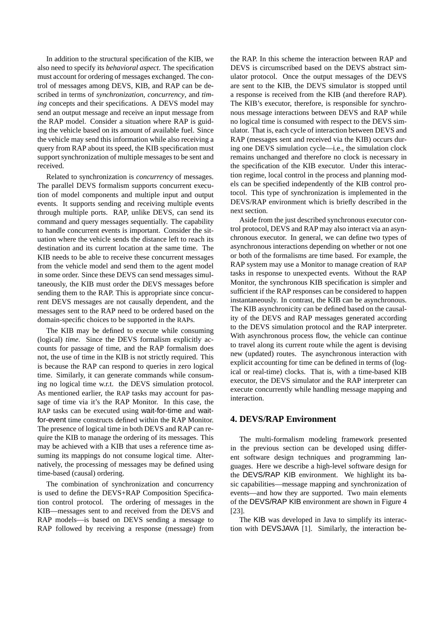In addition to the structural specification of the KIB, we also need to specify its *behavioral aspect*. The specification must account for ordering of messages exchanged. The control of messages among DEVS, KIB, and RAP can be described in terms of *synchronization*, *concurrency*, and *timing* concepts and their specifications. A DEVS model may send an output message and receive an input message from the RAP model. Consider a situation where RAP is guiding the vehicle based on its amount of available fuel. Since the vehicle may send this information while also receiving a query from RAP about its speed, the KIB specification must support synchronization of multiple messages to be sent and received.

Related to synchronization is *concurrency* of messages. The parallel DEVS formalism supports concurrent execution of model components and multiple input and output events. It supports sending and receiving multiple events through multiple ports. RAP, unlike DEVS, can send its command and query messages sequentially. The capability to handle concurrent events is important. Consider the situation where the vehicle sends the distance left to reach its destination and its current location at the same time. The KIB needs to be able to receive these concurrent messages from the vehicle model and send them to the agent model in some order. Since these DEVS can send messages simultaneously, the KIB must order the DEVS messages before sending them to the RAP. This is appropriate since concurrent DEVS messages are not causally dependent, and the messages sent to the RAP need to be ordered based on the domain-specific choices to be supported in the RAPs.

The KIB may be defined to execute while consuming (logical) *time*. Since the DEVS formalism explicitly accounts for passage of time, and the RAP formalism does not, the use of time in the KIB is not strictly required. This is because the RAP can respond to queries in zero logical time. Similarly, it can generate commands while consuming no logical time w.r.t. the DEVS simulation protocol. As mentioned earlier, the RAP tasks may account for passage of time via it's the RAP Monitor. In this case, the RAP tasks can be executed using wait-for-time and waitfor-event time constructs defined within the RAP Monitor. The presence of logical time in both DEVS and RAP can require the KIB to manage the ordering of its messages. This may be achieved with a KIB that uses a reference time assuming its mappings do not consume logical time. Alternatively, the processing of messages may be defined using time-based (causal) ordering.

The combination of synchronization and concurrency is used to define the DEVS+RAP Composition Specification control protocol. The ordering of messages in the KIB—messages sent to and received from the DEVS and RAP models—is based on DEVS sending a message to RAP followed by receiving a response (message) from the RAP. In this scheme the interaction between RAP and DEVS is circumscribed based on the DEVS abstract simulator protocol. Once the output messages of the DEVS are sent to the KIB, the DEVS simulator is stopped until a response is received from the KIB (and therefore RAP). The KIB's executor, therefore, is responsible for synchronous message interactions between DEVS and RAP while no logical time is consumed with respect to the DEVS simulator. That is, each cycle of interaction between DEVS and RAP (messages sent and received via the KIB) occurs during one DEVS simulation cycle—i.e., the simulation clock remains unchanged and therefore no clock is necessary in the specification of the KIB executor. Under this interaction regime, local control in the process and planning models can be specified independently of the KIB control protocol. This type of synchronization is implemented in the DEVS/RAP environment which is briefly described in the next section.

Aside from the just described synchronous executor control protocol, DEVS and RAP may also interact via an asynchronous executor. In general, we can define two types of asynchronous interactions depending on whether or not one or both of the formalisms are time based. For example, the RAP system may use a Monitor to manage creation of RAP tasks in response to unexpected events. Without the RAP Monitor, the synchronous KIB specification is simpler and sufficient if the RAP responses can be considered to happen instantaneously. In contrast, the KIB can be asynchronous. The KIB asynchronicity can be defined based on the causality of the DEVS and RAP messages generated according to the DEVS simulation protocol and the RAP interpreter. With asynchronous process flow, the vehicle can continue to travel along its current route while the agent is devising new (updated) routes. The asynchronous interaction with explicit accounting for time can be defined in terms of (logical or real-time) clocks. That is, with a time-based KIB executor, the DEVS simulator and the RAP interpreter can execute concurrently while handling message mapping and interaction.

## **4. DEVS/RAP Environment**

The multi-formalism modeling framework presented in the previous section can be developed using different software design techniques and programming languages. Here we describe a high-level software design for the DEVS/RAP KIB environment. We highlight its basic capabilities—message mapping and synchronization of events—and how they are supported. Two main elements of the DEVS/RAP KIB environment are shown in Figure 4 [23].

The KIB was developed in Java to simplify its interaction with DEVSJAVA [1]. Similarly, the interaction be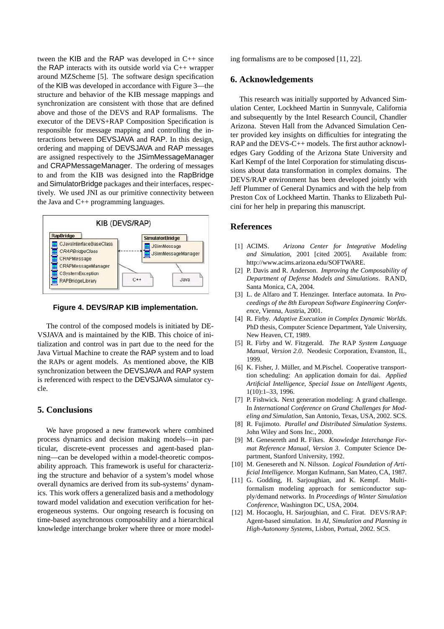tween the KIB and the RAP was developed in C++ since the RAP interacts with its outside world via C++ wrapper around MZScheme [5]. The software design specification of the KIB was developed in accordance with Figure 3—the structure and behavior of the KIB message mappings and synchronization are consistent with those that are defined above and those of the DEVS and RAP formalisms. The executor of the DEVS+RAP Composition Specification is responsible for message mapping and controlling the interactions between DEVSJAVA and RAP. In this design, ordering and mapping of DEVSJAVA and RAP messages are assigned respectively to the JSimMessageManager and CRAPMessageManager. The ordering of messages to and from the KIB was designed into the RapBridge and SimulatorBridge packages and their interfaces, respectively. We used JNI as our primitive connectivity between the Java and C++ programming languages.



**Figure 4. DEVS/RAP KIB implementation.**

The control of the composed models is initiated by DE-VSJAVA and is maintained by the KIB. This choice of initialization and control was in part due to the need for the Java Virtual Machine to create the RAP system and to load the RAPs or agent models. As mentioned above, the KIB synchronization between the DEVSJAVA and RAP system is referenced with respect to the DEVSJAVA simulator cycle.

#### **5. Conclusions**

We have proposed a new framework where combined process dynamics and decision making models—in particular, discrete-event processes and agent-based planning—can be developed within a model-theoretic composability approach. This framework is useful for characterizing the structure and behavior of a system's model whose overall dynamics are derived from its sub-systems' dynamics. This work offers a generalized basis and a methodology toward model validation and execution verification for heterogeneous systems. Our ongoing research is focusing on time-based asynchronous composability and a hierarchical knowledge interchange broker where three or more modeling formalisms are to be composed [11, 22].

#### **6. Acknowledgements**

This research was initially supported by Advanced Simulation Center, Lockheed Martin in Sunnyvale, California and subsequently by the Intel Research Council, Chandler Arizona. Steven Hall from the Advanced Simulation Center provided key insights on difficulties for integrating the RAP and the DEVS-C++ models. The first author acknowledges Gary Godding of the Arizona State University and Karl Kempf of the Intel Corporation for stimulating discussions about data transformation in complex domains. The DEVS/RAP environment has been developed jointly with Jeff Plummer of General Dynamics and with the help from Preston Cox of Lockheed Martin. Thanks to Elizabeth Pulcini for her help in preparing this manuscript.

## **References**

- [1] ACIMS. *Arizona Center for Integrative Modeling and Simulation*, 2001 [cited 2005]. Available from: http://www.acims.arizona.edu/SOFTWARE.
- [2] P. Davis and R. Anderson. *Improving the Composability of Department of Defense Models and Simulations*. RAND, Santa Monica, CA, 2004.
- [3] L. de Alfaro and T. Henzinger. Interface automata. In *Proceedings of the 8th European Software Engineering Conference*, Vienna, Austria, 2001.
- [4] R. Firby. *Adaptive Execution in Complex Dynamic Worlds*. PhD thesis, Computer Science Department, Yale University, New Heaven, CT, 1989.
- [5] R. Firby and W. Fitzgerald. *The* RAP *System Language Manual, Version 2.0*. Neodesic Corporation, Evanston, IL, 1999.
- [6] K. Fisher, J. Müller, and M.Pischel. Cooperative transporttion scheduling: An application domain for dai. *Applied Artificial Intelligence, Special Issue on Intelligent Agents*, 1(10):1–33, 1996.
- [7] P. Fishwick. Next generation modeling: A grand challenge. In *International Conference on Grand Challenges for Modeling and Simulation*, San Antonio, Texas, USA, 2002. SCS.
- [8] R. Fujimoto. *Parallel and Distributed Simulation Systems*. John Wiley and Sons Inc., 2000.
- [9] M. Genesereth and R. Fikes. *Knowledge Interchange Format Reference Manual, Version 3*. Computer Science Department, Stanford University, 1992.
- [10] M. Genesereth and N. Nilsson. *Logical Foundation of Artificial Intelligence*. Morgan Kufmann, San Mateo, CA, 1987.
- [11] G. Godding, H. Sarjoughian, and K. Kempf. Multiformalism modeling approach for semiconductor supply/demand networks. In *Proceedings of Winter Simulation Conference*, Washington DC, USA, 2004.
- [12] M. Hocaoglu, H. Sarjoughian, and C. Firat. DEVS/RAP: Agent-based simulation. In *AI, Simulation and Planning in High-Autonomy Systems*, Lisbon, Portual, 2002. SCS.